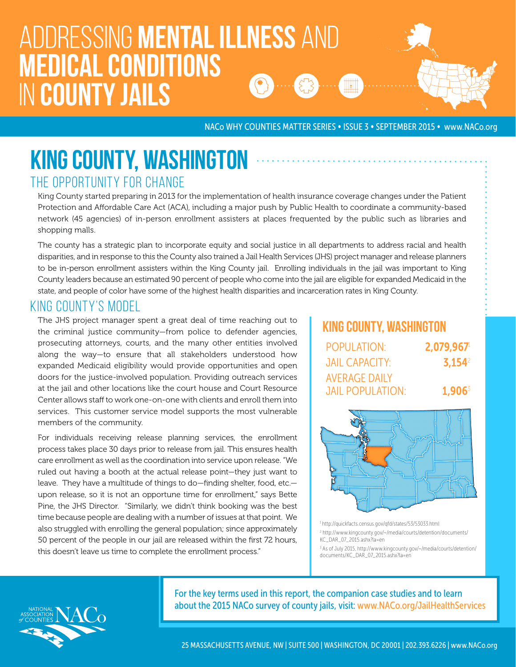# Addressing mental illness and medical conditions in county jails

NACo WHY COUNTIES MATTER SERIES • ISSUE 3 • SEPTEMBER 2015 • www.NACo.org

### KING COUNTY, WASHINGTON THE OPPORTUNITY FOR CHANGE

King County started preparing in 2013 for the implementation of health insurance coverage changes under the Patient Protection and Affordable Care Act (ACA), including a major push by Public Health to coordinate a community-based network (45 agencies) of in-person enrollment assisters at places frequented by the public such as libraries and shopping malls.

The county has a strategic plan to incorporate equity and social justice in all departments to address racial and health disparities, and in response to this the County also trained a Jail Health Services (JHS) project manager and release planners to be in-person enrollment assisters within the King County jail. Enrolling individuals in the jail was important to King County leaders because an estimated 90 percent of people who come into the jail are eligible for expanded Medicaid in the state, and people of color have some of the highest health disparities and incarceration rates in King County.

#### KING COUNTY'S MODEL

The JHS project manager spent a great deal of time reaching out to the criminal justice community—from police to defender agencies, prosecuting attorneys, courts, and the many other entities involved along the way—to ensure that all stakeholders understood how expanded Medicaid eligibility would provide opportunities and open doors for the justice-involved population. Providing outreach services at the jail and other locations like the court house and Court Resource Center allows staff to work one-on-one with clients and enroll them into services. This customer service model supports the most vulnerable members of the community.

For individuals receiving release planning services, the enrollment process takes place 30 days prior to release from jail. This ensures health care enrollment as well as the coordination into service upon release. "We ruled out having a booth at the actual release point—they just want to leave. They have a multitude of things to do—finding shelter, food, etc. upon release, so it is not an opportune time for enrollment," says Bette Pine, the JHS Director. "Similarly, we didn't think booking was the best time because people are dealing with a number of issues at that point. We also struggled with enrolling the general population; since approximately 50 percent of the people in our jail are released within the first 72 hours, this doesn't leave us time to complete the enrollment process."

## King County, Washington

| <b>POPULATION:</b>      | 2.079.967 |
|-------------------------|-----------|
| <b>JAIL CAPACITY:</b>   | $3.154^2$ |
| <b>AVERAGE DAILY</b>    |           |
| <b>JAIL POPULATION:</b> | $1,906^3$ |



1 http://quickfacts.census.gov/qfd/states/53/53033.html 2 http://www.kingcounty.gov/~/media/courts/detention/documents/ KC\_DAR\_07\_2015.ashx?la=en 3 As of July 2015, http://www.kingcounty.gov/~/media/courts/detention/ documents/KC\_DAR\_07\_2015.ashx?la=en



For the key terms used in this report, the companion case studies and to learn about the 2015 NACo survey of county jails, visit: www.NACo.org/JailHealthServices